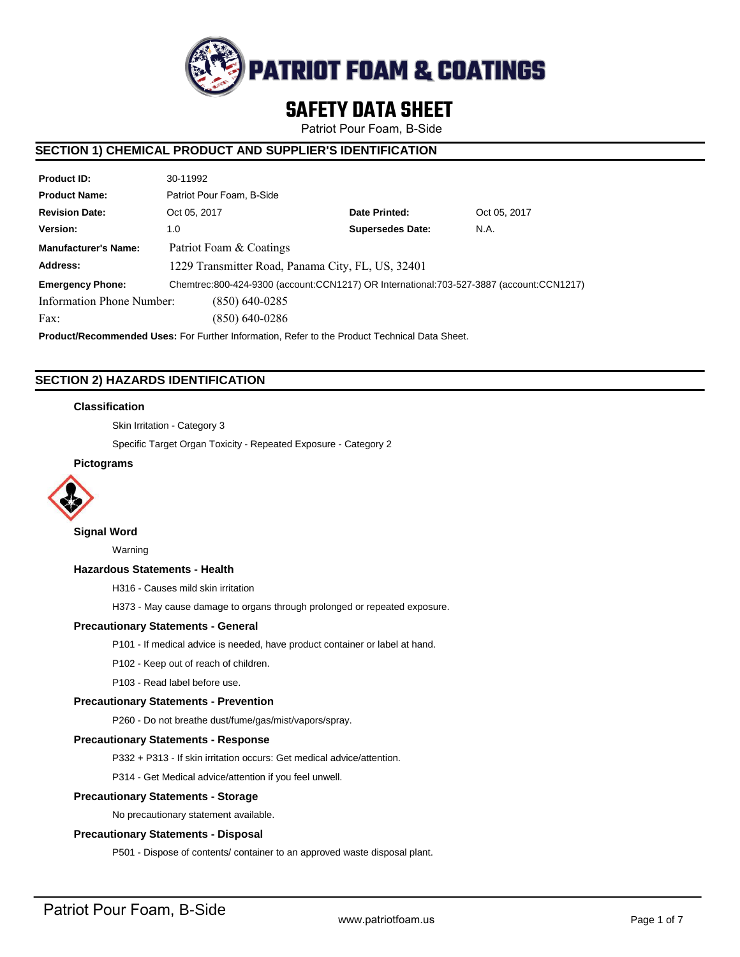

# **SAFETY DATA SHEET**

Patriot Pour Foam, B-Side

# **SECTION 1) CHEMICAL PRODUCT AND SUPPLIER'S IDENTIFICATION**

| <b>Product ID:</b>          | 30-11992                                                                                |                         |              |  |  |
|-----------------------------|-----------------------------------------------------------------------------------------|-------------------------|--------------|--|--|
| <b>Product Name:</b>        | Patriot Pour Foam, B-Side                                                               |                         |              |  |  |
| <b>Revision Date:</b>       | Oct 05, 2017                                                                            | Date Printed:           | Oct 05, 2017 |  |  |
| Version:                    | 1.0                                                                                     | <b>Supersedes Date:</b> | N.A.         |  |  |
| <b>Manufacturer's Name:</b> | Patriot Foam & Coatings                                                                 |                         |              |  |  |
| Address:                    | 1229 Transmitter Road, Panama City, FL, US, 32401                                       |                         |              |  |  |
| <b>Emergency Phone:</b>     | Chemtrec:800-424-9300 (account:CCN1217) OR International:703-527-3887 (account:CCN1217) |                         |              |  |  |
| Information Phone Number:   | $(850)$ 640-0285                                                                        |                         |              |  |  |
| Fax:                        | (850) 640-0286                                                                          |                         |              |  |  |

**Product/Recommended Uses:** For Further Information, Refer to the Product Technical Data Sheet.

# **SECTION 2) HAZARDS IDENTIFICATION**

# **Classification**

Skin Irritation - Category 3

Specific Target Organ Toxicity - Repeated Exposure - Category 2

### **Pictograms**



# **Signal Word**

Warning

### **Hazardous Statements - Health**

H316 - Causes mild skin irritation

H373 - May cause damage to organs through prolonged or repeated exposure.

### **Precautionary Statements - General**

P101 - If medical advice is needed, have product container or label at hand.

- P102 Keep out of reach of children.
- P103 Read label before use.

### **Precautionary Statements - Prevention**

P260 - Do not breathe dust/fume/gas/mist/vapors/spray.

#### **Precautionary Statements - Response**

P332 + P313 - If skin irritation occurs: Get medical advice/attention.

P314 - Get Medical advice/attention if you feel unwell.

### **Precautionary Statements - Storage**

No precautionary statement available.

### **Precautionary Statements - Disposal**

P501 - Dispose of contents/ container to an approved waste disposal plant.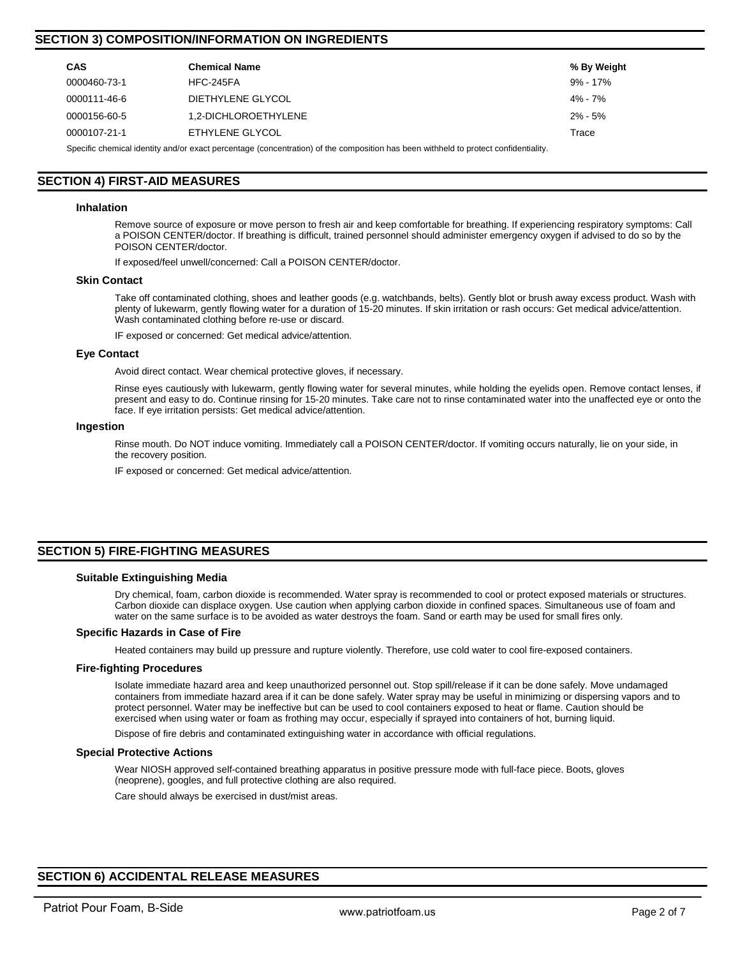# **SECTION 3) COMPOSITION/INFORMATION ON INGREDIENTS**

| <b>CAS</b>   | <b>Chemical Name</b> | % By Weight |
|--------------|----------------------|-------------|
| 0000460-73-1 | <b>HFC-245FA</b>     | 9% - 17%    |
| 0000111-46-6 | DIETHYLENE GLYCOL    | $4\% - 7\%$ |
| 0000156-60-5 | 1.2-DICHLOROETHYLENE | $2\% - 5\%$ |
| 0000107-21-1 | ETHYLENE GLYCOL      | Trace       |

Specific chemical identity and/or exact percentage (concentration) of the composition has been withheld to protect confidentiality.

# **SECTION 4) FIRST-AID MEASURES**

#### **Inhalation**

Remove source of exposure or move person to fresh air and keep comfortable for breathing. If experiencing respiratory symptoms: Call a POISON CENTER/doctor. If breathing is difficult, trained personnel should administer emergency oxygen if advised to do so by the POISON CENTER/doctor.

If exposed/feel unwell/concerned: Call a POISON CENTER/doctor.

#### **Skin Contact**

Take off contaminated clothing, shoes and leather goods (e.g. watchbands, belts). Gently blot or brush away excess product. Wash with plenty of lukewarm, gently flowing water for a duration of 15-20 minutes. If skin irritation or rash occurs: Get medical advice/attention. Wash contaminated clothing before re-use or discard.

IF exposed or concerned: Get medical advice/attention.

#### **Eye Contact**

Avoid direct contact. Wear chemical protective gloves, if necessary.

Rinse eyes cautiously with lukewarm, gently flowing water for several minutes, while holding the eyelids open. Remove contact lenses, if present and easy to do. Continue rinsing for 15-20 minutes. Take care not to rinse contaminated water into the unaffected eye or onto the face. If eye irritation persists: Get medical advice/attention.

#### **Ingestion**

Rinse mouth. Do NOT induce vomiting. Immediately call a POISON CENTER/doctor. If vomiting occurs naturally, lie on your side, in the recovery position.

IF exposed or concerned: Get medical advice/attention.

# **SECTION 5) FIRE-FIGHTING MEASURES**

#### **Suitable Extinguishing Media**

Dry chemical, foam, carbon dioxide is recommended. Water spray is recommended to cool or protect exposed materials or structures. Carbon dioxide can displace oxygen. Use caution when applying carbon dioxide in confined spaces. Simultaneous use of foam and water on the same surface is to be avoided as water destroys the foam. Sand or earth may be used for small fires only.

#### **Specific Hazards in Case of Fire**

Heated containers may build up pressure and rupture violently. Therefore, use cold water to cool fire-exposed containers.

#### **Fire-fighting Procedures**

Isolate immediate hazard area and keep unauthorized personnel out. Stop spill/release if it can be done safely. Move undamaged containers from immediate hazard area if it can be done safely. Water spray may be useful in minimizing or dispersing vapors and to protect personnel. Water may be ineffective but can be used to cool containers exposed to heat or flame. Caution should be exercised when using water or foam as frothing may occur, especially if sprayed into containers of hot, burning liquid.

Dispose of fire debris and contaminated extinguishing water in accordance with official regulations.

#### **Special Protective Actions**

Wear NIOSH approved self-contained breathing apparatus in positive pressure mode with full-face piece. Boots, gloves (neoprene), googles, and full protective clothing are also required.

Care should always be exercised in dust/mist areas.

# **SECTION 6) ACCIDENTAL RELEASE MEASURES**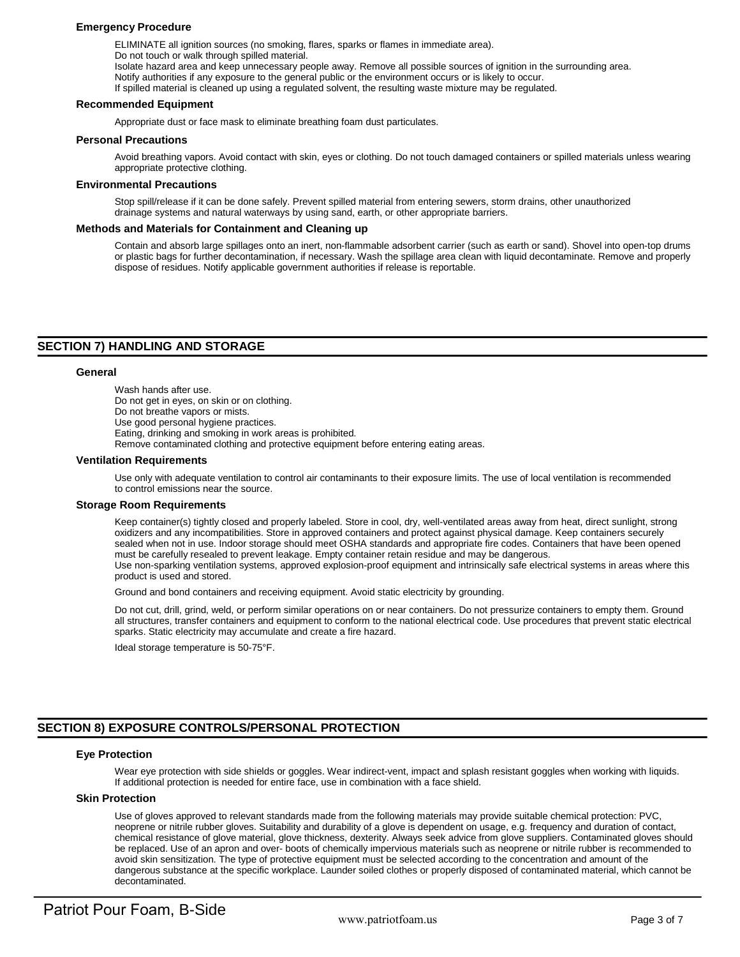### **Emergency Procedure**

ELIMINATE all ignition sources (no smoking, flares, sparks or flames in immediate area). Do not touch or walk through spilled material. Isolate hazard area and keep unnecessary people away. Remove all possible sources of ignition in the surrounding area. Notify authorities if any exposure to the general public or the environment occurs or is likely to occur. If spilled material is cleaned up using a regulated solvent, the resulting waste mixture may be regulated.

#### **Recommended Equipment**

Appropriate dust or face mask to eliminate breathing foam dust particulates.

#### **Personal Precautions**

Avoid breathing vapors. Avoid contact with skin, eyes or clothing. Do not touch damaged containers or spilled materials unless wearing appropriate protective clothing.

#### **Environmental Precautions**

Stop spill/release if it can be done safely. Prevent spilled material from entering sewers, storm drains, other unauthorized drainage systems and natural waterways by using sand, earth, or other appropriate barriers.

#### **Methods and Materials for Containment and Cleaning up**

Contain and absorb large spillages onto an inert, non-flammable adsorbent carrier (such as earth or sand). Shovel into open-top drums or plastic bags for further decontamination, if necessary. Wash the spillage area clean with liquid decontaminate. Remove and properly dispose of residues. Notify applicable government authorities if release is reportable.

# **SECTION 7) HANDLING AND STORAGE**

#### **General**

Wash hands after use. Do not get in eyes, on skin or on clothing. Do not breathe vapors or mists. Use good personal hygiene practices. Eating, drinking and smoking in work areas is prohibited. Remove contaminated clothing and protective equipment before entering eating areas.

#### **Ventilation Requirements**

Use only with adequate ventilation to control air contaminants to their exposure limits. The use of local ventilation is recommended to control emissions near the source.

#### **Storage Room Requirements**

Keep container(s) tightly closed and properly labeled. Store in cool, dry, well-ventilated areas away from heat, direct sunlight, strong oxidizers and any incompatibilities. Store in approved containers and protect against physical damage. Keep containers securely sealed when not in use. Indoor storage should meet OSHA standards and appropriate fire codes. Containers that have been opened must be carefully resealed to prevent leakage. Empty container retain residue and may be dangerous. Use non-sparking ventilation systems, approved explosion-proof equipment and intrinsically safe electrical systems in areas where this product is used and stored.

Ground and bond containers and receiving equipment. Avoid static electricity by grounding.

Do not cut, drill, grind, weld, or perform similar operations on or near containers. Do not pressurize containers to empty them. Ground all structures, transfer containers and equipment to conform to the national electrical code. Use procedures that prevent static electrical sparks. Static electricity may accumulate and create a fire hazard.

Ideal storage temperature is 50-75°F.

# **SECTION 8) EXPOSURE CONTROLS/PERSONAL PROTECTION**

# **Eye Protection**

Wear eye protection with side shields or goggles. Wear indirect-vent, impact and splash resistant goggles when working with liquids. If additional protection is needed for entire face, use in combination with a face shield.

### **Skin Protection**

Use of gloves approved to relevant standards made from the following materials may provide suitable chemical protection: PVC, neoprene or nitrile rubber gloves. Suitability and durability of a glove is dependent on usage, e.g. frequency and duration of contact, chemical resistance of glove material, glove thickness, dexterity. Always seek advice from glove suppliers. Contaminated gloves should be replaced. Use of an apron and over- boots of chemically impervious materials such as neoprene or nitrile rubber is recommended to avoid skin sensitization. The type of protective equipment must be selected according to the concentration and amount of the dangerous substance at the specific workplace. Launder soiled clothes or properly disposed of contaminated material, which cannot be decontaminated.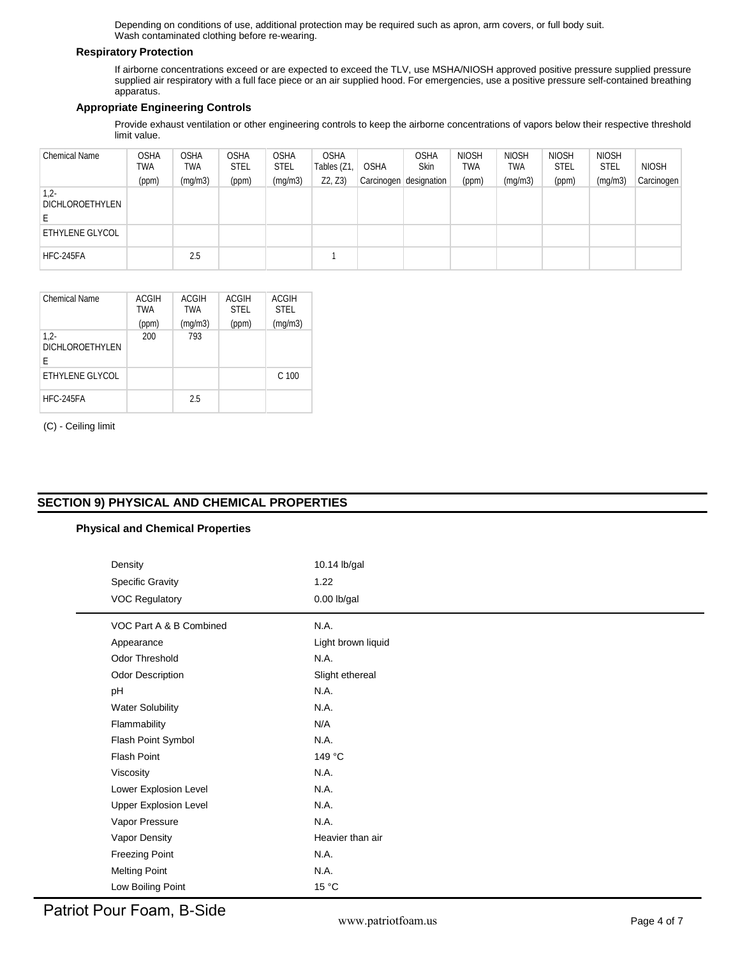Depending on conditions of use, additional protection may be required such as apron, arm covers, or full body suit. Wash contaminated clothing before re-wearing.

# **Respiratory Protection**

If airborne concentrations exceed or are expected to exceed the TLV, use MSHA/NIOSH approved positive pressure supplied pressure supplied air respiratory with a full face piece or an air supplied hood. For emergencies, use a positive pressure self-contained breathing apparatus.

# **Appropriate Engineering Controls**

Provide exhaust ventilation or other engineering controls to keep the airborne concentrations of vapors below their respective threshold limit value.

| <b>Chemical Name</b>      | <b>OSHA</b><br>TWA | <b>OSHA</b><br>TWA | <b>OSHA</b><br><b>STEL</b> | <b>OSHA</b><br><b>STEL</b> | <b>OSHA</b><br>Tables (Z1 | <b>OSHA</b>             | <b>OSHA</b><br>Skin | <b>NIOSH</b><br>TWA | <b>NIOSH</b><br>TWA | <b>NIOSH</b><br><b>STEL</b> | <b>NIOSH</b><br><b>STEL</b> | <b>NIOSH</b> |
|---------------------------|--------------------|--------------------|----------------------------|----------------------------|---------------------------|-------------------------|---------------------|---------------------|---------------------|-----------------------------|-----------------------------|--------------|
|                           | (ppm)              | (mg/m3)            | (ppm)                      | (mg/m3)                    | Z2, Z3                    | Carcinogen <sup>1</sup> | designation         | (ppm)               | (mg/m3)             | (ppm)                       | (mg/m3)                     | Carcinogen   |
| $1,2-$<br>DICHLOROETHYLEN |                    |                    |                            |                            |                           |                         |                     |                     |                     |                             |                             |              |
| ETHYLENE GLYCOL           |                    |                    |                            |                            |                           |                         |                     |                     |                     |                             |                             |              |
| HFC-245FA                 |                    | 2.5                |                            |                            |                           |                         |                     |                     |                     |                             |                             |              |

| Chemical Name                         | <b>ACGIH</b><br>TWA | <b>ACGIH</b><br><b>TWA</b> | <b>ACGIH</b><br><b>STEL</b> | <b>ACGIH</b><br><b>STEL</b> |
|---------------------------------------|---------------------|----------------------------|-----------------------------|-----------------------------|
|                                       | (ppm)               | (mq/m3)                    | (ppm)                       | (mq/m3)                     |
| $1,2-$<br><b>DICHLOROETHYLEN</b><br>E | 200                 | 793                        |                             |                             |
| ETHYLENE GLYCOL                       |                     |                            |                             | C 100                       |
| HFC-245FA                             |                     | 2.5                        |                             |                             |

(C) - Ceiling limit

# **SECTION 9) PHYSICAL AND CHEMICAL PROPERTIES**

# **Physical and Chemical Properties**

| Density                      | 10.14 lb/gal       |  |  |  |  |
|------------------------------|--------------------|--|--|--|--|
| Specific Gravity             | 1.22               |  |  |  |  |
| <b>VOC Regulatory</b>        | $0.00$ lb/gal      |  |  |  |  |
| VOC Part A & B Combined      | N.A.               |  |  |  |  |
| Appearance                   | Light brown liquid |  |  |  |  |
| Odor Threshold               | N.A.               |  |  |  |  |
| <b>Odor Description</b>      | Slight ethereal    |  |  |  |  |
| pH                           | N.A.               |  |  |  |  |
| <b>Water Solubility</b>      | N.A.               |  |  |  |  |
| Flammability                 | N/A                |  |  |  |  |
| Flash Point Symbol           | N.A.               |  |  |  |  |
| Flash Point                  | 149 °C             |  |  |  |  |
| Viscosity                    | N.A.               |  |  |  |  |
| Lower Explosion Level        | N.A.               |  |  |  |  |
| <b>Upper Explosion Level</b> | N.A.               |  |  |  |  |
| Vapor Pressure               | N.A.               |  |  |  |  |
| Vapor Density                | Heavier than air   |  |  |  |  |
| <b>Freezing Point</b>        | N.A.               |  |  |  |  |
| <b>Melting Point</b>         | N.A.               |  |  |  |  |
| Low Boiling Point            | 15 °C              |  |  |  |  |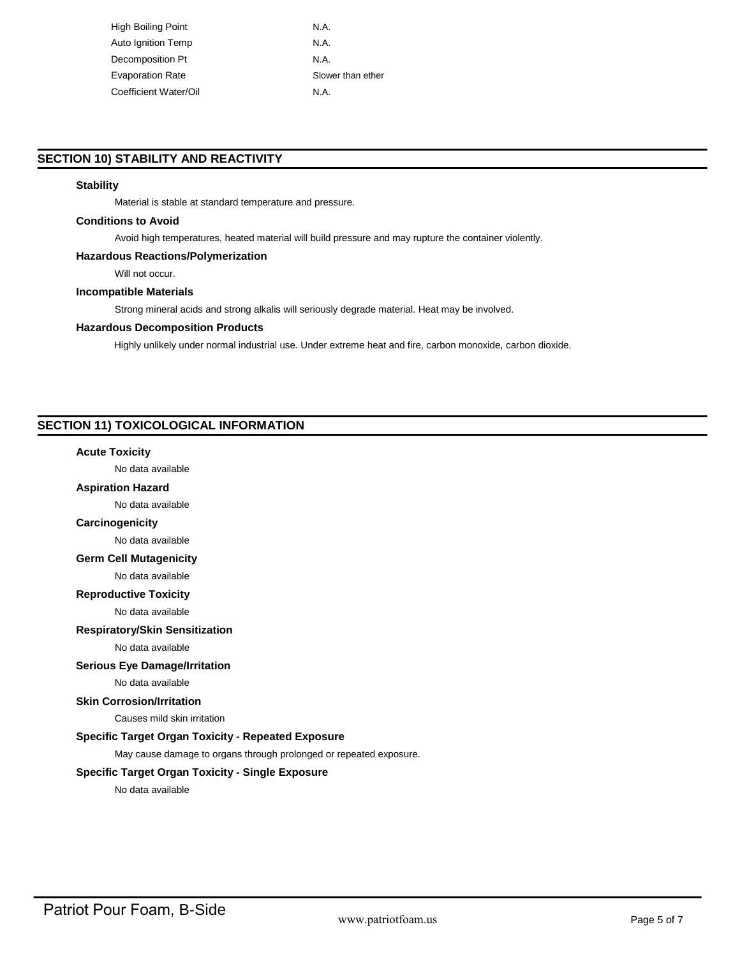High Boiling Point N.A. Auto Ignition Temp N.A. Decomposition Pt N.A. Evaporation Rate Slower than ether Coefficient Water/Oil N.A.

# **SECTION 10) STABILITY AND REACTIVITY**

# **Stability**

Material is stable at standard temperature and pressure.

### **Conditions to Avoid**

Avoid high temperatures, heated material will build pressure and may rupture the container violently.

### **Hazardous Reactions/Polymerization**

Will not occur.

# **Incompatible Materials**

Strong mineral acids and strong alkalis will seriously degrade material. Heat may be involved.

#### **Hazardous Decomposition Products**

Highly unlikely under normal industrial use. Under extreme heat and fire, carbon monoxide, carbon dioxide.

# **SECTION 11) TOXICOLOGICAL INFORMATION**

## **Acute Toxicity**

No data available

# **Aspiration Hazard**

No data available

# **Carcinogenicity**

No data available

# **Germ Cell Mutagenicity**

No data available

**Reproductive Toxicity**

No data available

### **Respiratory/Skin Sensitization**

No data available

### **Serious Eye Damage/Irritation**

No data available

# **Skin Corrosion/Irritation**

Causes mild skin irritation

# **Specific Target Organ Toxicity - Repeated Exposure**

May cause damage to organs through prolonged or repeated exposure.

### **Specific Target Organ Toxicity - Single Exposure**

No data available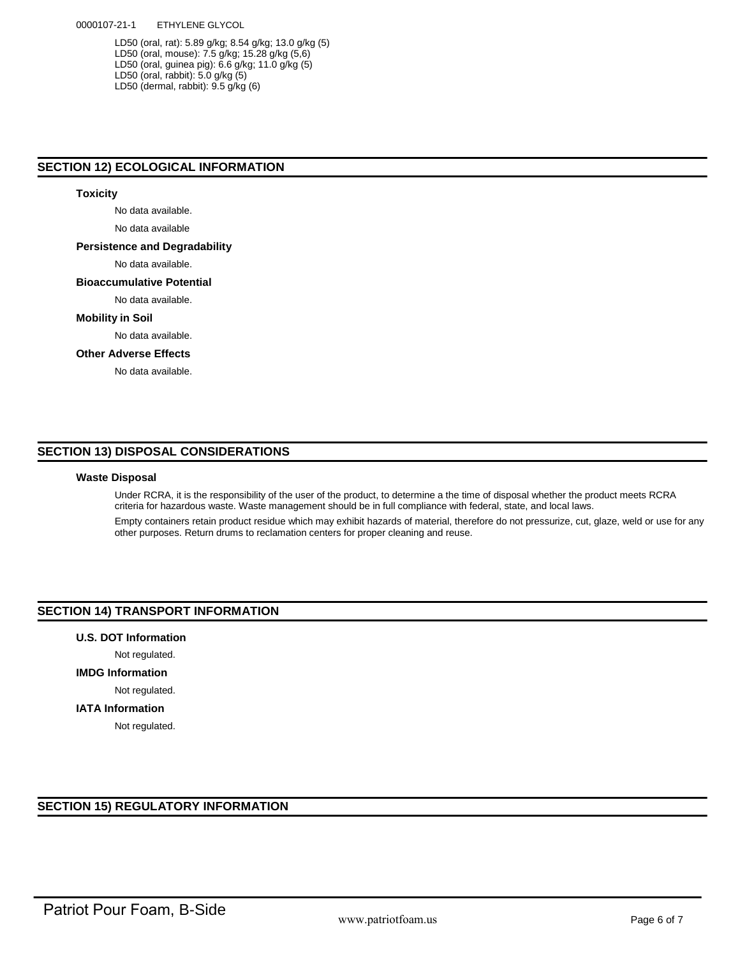LD50 (oral, rat): 5.89 g/kg; 8.54 g/kg; 13.0 g/kg (5) LD50 (oral, mouse): 7.5 g/kg; 15.28 g/kg (5,6) LD50 (oral, guinea pig): 6.6 g/kg; 11.0 g/kg (5) LD50 (oral, rabbit): 5.0 g/kg (5) LD50 (dermal, rabbit): 9.5 g/kg (6)

# **SECTION 12) ECOLOGICAL INFORMATION**

# **Toxicity**

No data available.

No data available

### **Persistence and Degradability**

No data available.

### **Bioaccumulative Potential**

No data available.

## **Mobility in Soil**

No data available.

# **Other Adverse Effects**

No data available.

# **SECTION 13) DISPOSAL CONSIDERATIONS**

# **Waste Disposal**

Under RCRA, it is the responsibility of the user of the product, to determine a the time of disposal whether the product meets RCRA criteria for hazardous waste. Waste management should be in full compliance with federal, state, and local laws.

Empty containers retain product residue which may exhibit hazards of material, therefore do not pressurize, cut, glaze, weld or use for any other purposes. Return drums to reclamation centers for proper cleaning and reuse.

# **SECTION 14) TRANSPORT INFORMATION**

**U.S. DOT Information**

# Not regulated.

**IMDG Information**

Not regulated.

## **IATA Information**

Not regulated.

# **SECTION 15) REGULATORY INFORMATION**